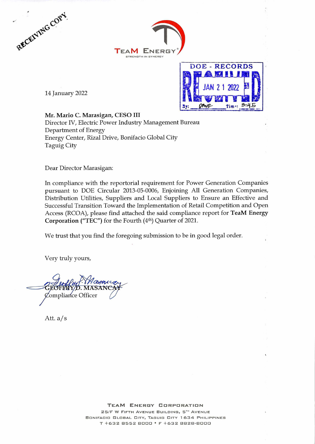





14 January 2022

Mr. Mario C. Marasigan, CESO III Director IV, Electric Power Industry Management Bureau Department of Energy Energy Center, Rizal Drive, Bonifacio Global City Taguig City

Dear Director Marasigan:

In compliance with the reportorial requirement for Power Generation Companies pursuant to DOE Circular 2013-05-0006, Enjoining All Generation Companies, Distribution Utilities, Suppliers and Local Suppliers to Ensure an Effective and Successful Transition Toward the Implementation of Retail Competition and Open Access (RCOA), please find attached the said compliance report for TeaM Energy Corporation ("TEC") for the Fourth  $(4<sup>th</sup>)$  Quarter of 2021.

We trust that you find the foregoing submission to be in good legal order.

Very truly yours,

Compliance Officer

Att.  $a/s$ 

### TEAM ENERGY CORPORATION 25/F W FIFTH AVENUE BUILDING, 5TH AVENUE BONIFACIO GLOBAL CITY, TAGUIG CITY 1634 PHILIPPINES T +632 8552 8000 · F +632 8828-8000